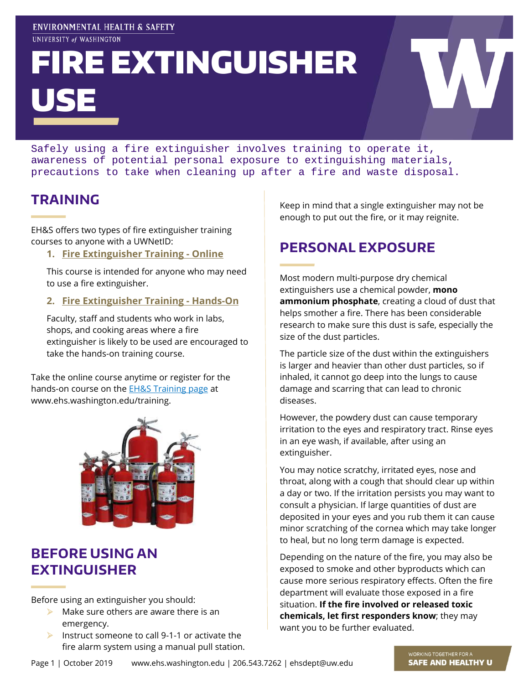#### ENVIRONMENTAL HEALTH & SAFETY UNIVERSITY of WASHINGTON

# FIRE EXTINGUISHER USE

Safely using a fire extinguisher involves training to operate it, awareness of potential personal exposure to extinguishing materials, precautions to take when cleaning up after a fire and waste disposal.

# **TRAINING**

EH&S offers two types of fire extinguisher training courses to anyone with a UWNetID:

**1. Fire [Extinguisher Training -](https://www.ehs.washington.edu/training/fire-extinguisher-training-online) Online**

This course is intended for anyone who may need to use a fire extinguisher.

**2. Fire [Extinguisher Training -](https://www.ehs.washington.edu/training/fire-extinguisher-training-hands) Hands-On**

Faculty, staff and students who work in labs, shops, and cooking areas where a fire extinguisher is likely to be used are encouraged to take the hands-on training course.

Take the online course anytime or register for the hands-on course on the **EH&S Training page** at www.ehs.washington.edu/training.



## **BEFORE USING AN EXTINGUISHER**

Before using an extinguisher you should:

- $\blacktriangleright$  Make sure others are aware there is an emergency.
- Instruct someone to call 9-1-1 or activate the fire alarm system using a manual pull station.

Keep in mind that a single extinguisher may not be enough to put out the fire, or it may reignite.

# **PERSONAL EXPOSURE**

Most modern multi-purpose dry chemical extinguishers use a chemical powder, **mono ammonium phosphate**, creating a cloud of dust that helps smother a fire. There has been considerable research to make sure this dust is safe, especially the size of the dust particles.

The particle size of the dust within the extinguishers is larger and heavier than other dust particles, so if inhaled, it cannot go deep into the lungs to cause damage and scarring that can lead to chronic diseases.

However, the powdery dust can cause temporary irritation to the eyes and respiratory tract. Rinse eyes in an eye wash, if available, after using an extinguisher.

You may notice scratchy, irritated eyes, nose and throat, along with a cough that should clear up within a day or two. If the irritation persists you may want to consult a physician. If large quantities of dust are deposited in your eyes and you rub them it can cause minor scratching of the cornea which may take longer to heal, but no long term damage is expected.

Depending on the nature of the fire, you may also be exposed to smoke and other byproducts which can cause more serious respiratory effects. Often the fire department will evaluate those exposed in a fire situation. **If the fire involved or released toxic chemicals, let first responders know**; they may want you to be further evaluated.